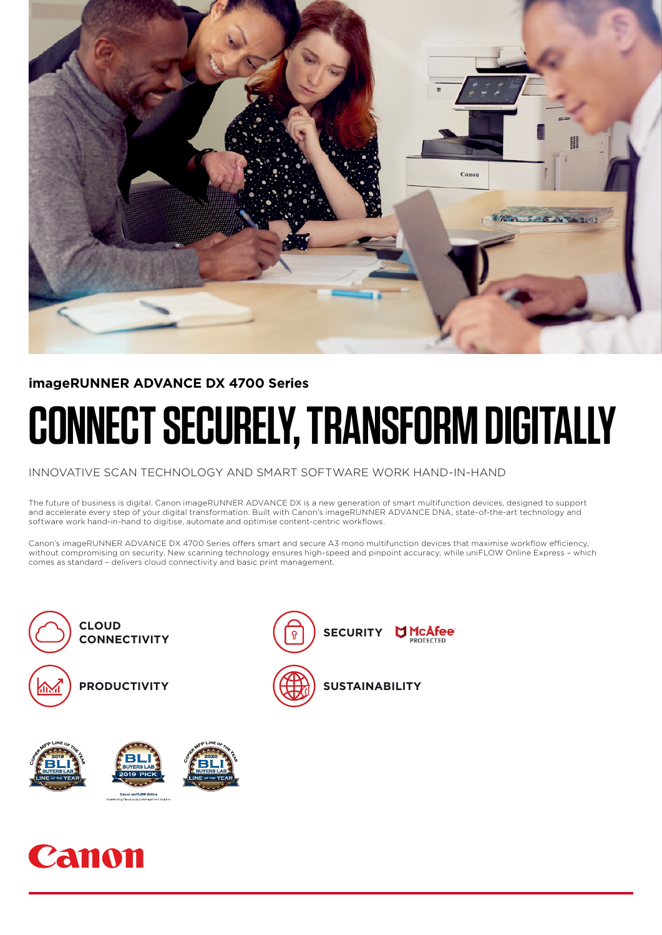

# **imageRUNNER ADVANCE DX 4700 Series**

# **CONNECT SECURELY, TRANSFORM DIGITALLY**

### INNOVATIVE SCAN TECHNOLOGY AND SMART SOFTWARE WORK HAND-IN-HAND

The future of business is digital. Canon imageRUNNER ADVANCE DX is a new generation of smart multifunction devices, designed to support and accelerate every step of your digital transformation. Built with Canon's imageRUNNER ADVANCE DNA, state-of-the-art technology and software work hand-in-hand to digitise, automate and optimise content-centric workflows.

Canon's imageRUNNER ADVANCE DX 4700 Series offers smart and secure A3 mono multifunction devices that maximise workflow efficiency, without compromising on security. New scanning technology ensures high-speed and pinpoint accuracy, while uniFLOW Online Express – which comes as standard – delivers cloud connectivity and basic print management.